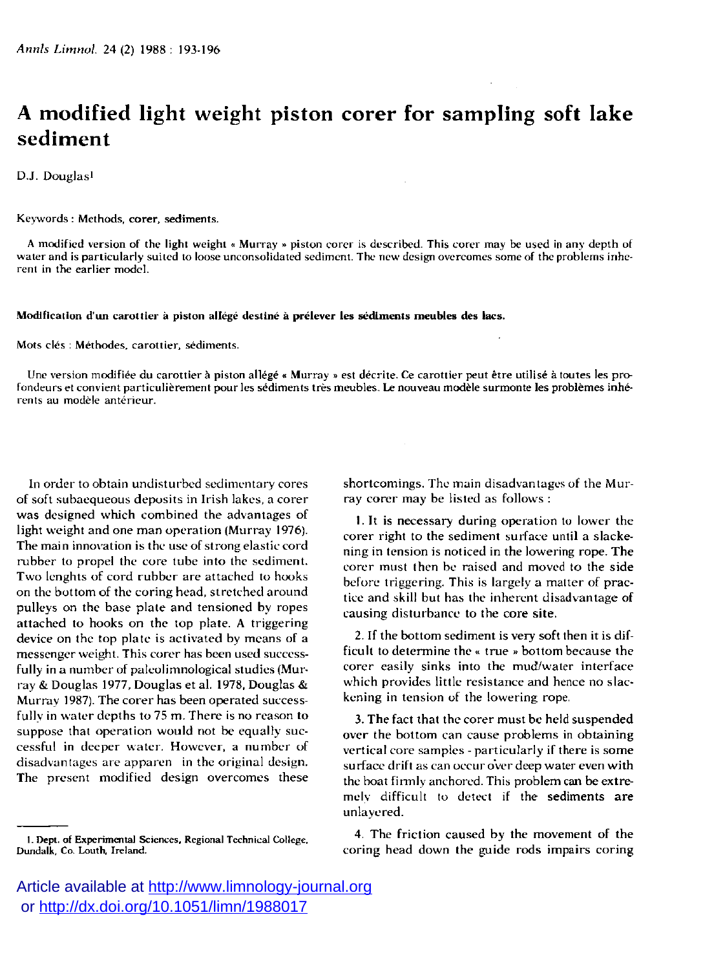## **A modified light weight piston corer for sampling soft lake sediment**

D.J. Douglasi

## **Keyword s : Methods, corer , sediments.**

**A modified version of the light weight « Murra y » piston core r is described. This core r may be used in any depth of wate r and is particularly suited to loose unconsolidated sediment. The new design overcome s some of the problems inhe**rent in the earlier model.

## **Modification d'un carottier à piston allégé destiné à prélever les sédiments meubles des lacs.**

**Mots clés : Méthodes, carottier, sédiments.** 

Une version modifiée du carottier à piston allégé « Murray » est décrite. Ce carottier peut être utilisé à toutes les pro**fondeur s et convient particulièrement pou r les sédiments très meubles. Le nouveau modèl e surmont e les problème s inhé**rents au modèle antérieur.

In order to obtain undisturbed sedimentary cores of soft subaequeous deposits in Irish lakes, a corer was designed which combined the advantages of light weight and one man operation (Murray 1976). The main innovation is the use of strong elastic cord rubber to propel the core tube into the sediment. Two lenghts of cord rubber are attached to hooks on the bottom of the coring head, stretched around pulleys on the base plate and tensioned by ropes attached to hooks on the top plate. A triggering device on the top plate is activated by means of a messenger weight. This corer has been used successfully in a number of paleolimnological studies (Murray & Douglas 1977, Douglas et al. 1978, Douglas & Murray 1987). The corer has been operated successfully in water depths to 75 m. There is no reason to suppose that operation would not be equally successful in deeper water. However, a number of disadvantages are apparen in the original design. The present modified design overcomes these

shortcomings. The main disadvantages of the Murray corer may be listed as follows :

**1.** It is necessary during operation to lower the corer right to the sediment surface until a slackening in tension is noticed in the lowering rope. The corer must then be raised and moved to the side before triggering. This is largely a matter of practice and skill but has the inherent disadvantage of causing disturbance to the core site.

2. If the bottom sediment is very soft then it is difficult to determine the « true » bottom because the corer easily sinks into the mud/water interface which provides little resistance and hence no slackening in tension of the lowering rope.

3. The fact that the corer must be held suspended over the bottom can cause problems in obtaining vertical core samples - particularly if there is some surface drift as can occur over deep water even with the boat firmly anchored. This problem can be extremely difficult to detect if the sediments are unlayered.

4. The friction caused by the movement of the coring head down the guide rods impairs coring

**<sup>1.</sup> Dept. of Experimental Sciences, Regional Technical College, Dundalk, Co. Louth, Ireland.** 

Article available at <http://www.limnology-journal.org> or <http://dx.doi.org/10.1051/limn/1988017>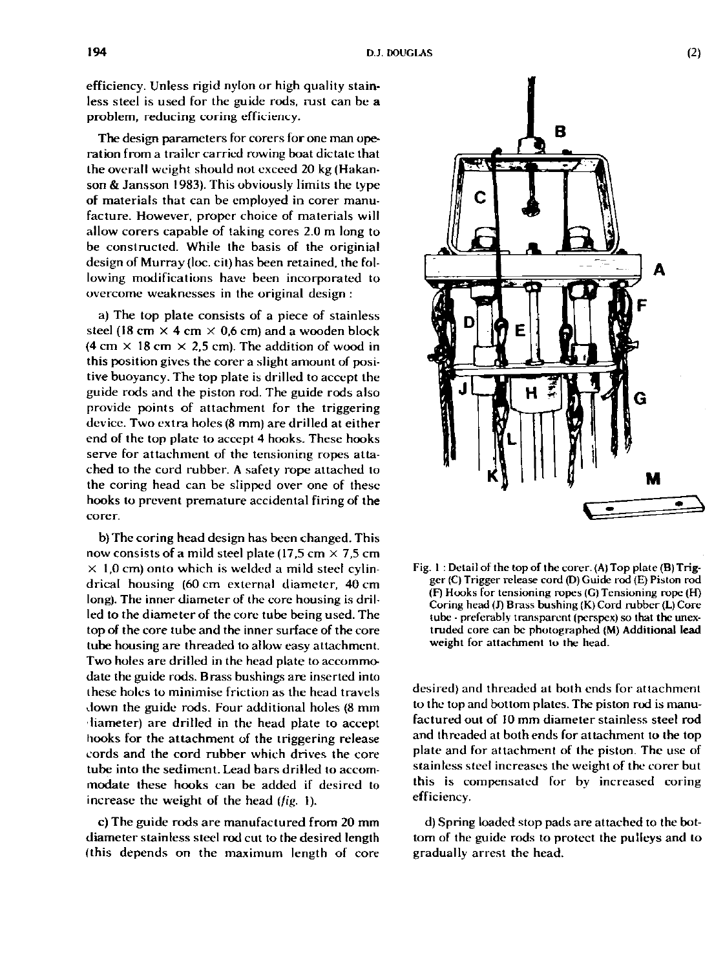efficiency. Unless rigid nylon or high quality stainless steel is used for the guide rods, rust can be a problem, reducing coring efficiency.

The design parameters for corers for one man operation from a trailer carried rowing boat dictate that the overall weight should not exceed **20** kg (Hakanson & Jansson **1983).** This obviously limits the type of materials that can be employed in corer manufacture. However, proper choice of materials will allow corers capable of taking cores **2.0** m long to be constructed. While the basis of the originial design of Murray (loc. cit) has been retained, the following modifications have been incorporated to overcome weaknesses in the original design :

a) The top plate consists of a piece of stainless steel (18 cm  $\times$  4 cm  $\times$  0,6 cm) and a wooden block  $(4 \text{ cm} \times 18 \text{ cm} \times 2.5 \text{ cm})$ . The addition of wood in this position gives the corer a slight amount of positive buoyancy. The top plate is drilled to accept the guide rods and the piston rod. The guide rods also provide points of attachment for the triggering device. Two extra holes (8 mm) are drilled at either end of the top plate to accept **4** hooks. These hooks serve for attachment of the tensioning ropes attached to the cord rubber. A safety rope attached to the coring head can be slipped over one of these hooks to prevent premature accidental firing of the corer.

b) The coring head design has been changed. This now consists of a mild steel plate  $(17.5 \text{ cm} \times 7.5 \text{ cm})$  $\times$  1,0 cm) onto which is welded a mild steel cylindrical housing **(60** cm external diameter, **40** cm long). The inner diameter of the core housing is drilled to the diameter of the core tube being used. The top of the core tube and the inner surface of the core tube housing are threaded to allow easy attachment. Two holes are drilled in the head plate to accommodate the guide rods. Brass bushings are inserted into these holes to minimise friction as the head travels down the guide rods. Four additional holes **(8** mm diameter) are drilled in the head plate to accept hooks for the attachment of the triggering release cords and the cord rubber which drives the core tube into the sediment. Lead bars drilled to accommodate these hooks can be added if desired to increase the weight of the head (*fig.* 1).

**c)** The guide rods are manufactured from **20** mm diameter stainless steel rod cut to the desired length (this depends on the maximum length of core



Fig. 1 : Detail of the top of the corer. (A) Top plate (B) Trigger (C) Trigger release cord (D) Guide rod (E) Piston rod (F) Hooks for tensioning ropes (G)Tensioning rope (H) Coring head (J) Brass bushing (K) Cord rubber (L) Core tube - preferably transparent (perspex) so that the unextruded core can be photographed (M) Additional lead weight for attachment lo the head.

desired) and threaded at both ends for attachment to the top and bottom plates. The piston rod is manufactured out of **10** mm diameter stainless steel rod and threaded at both ends for attachment to the top plate and for attachment of the piston. The use of stainless steel increases the weight of the corer but this is compensated for by increased coring efficiency.

d) Spring loaded stop pads are attached to the bottom of the guide rods to protect the pulleys and to gradually arrest the head.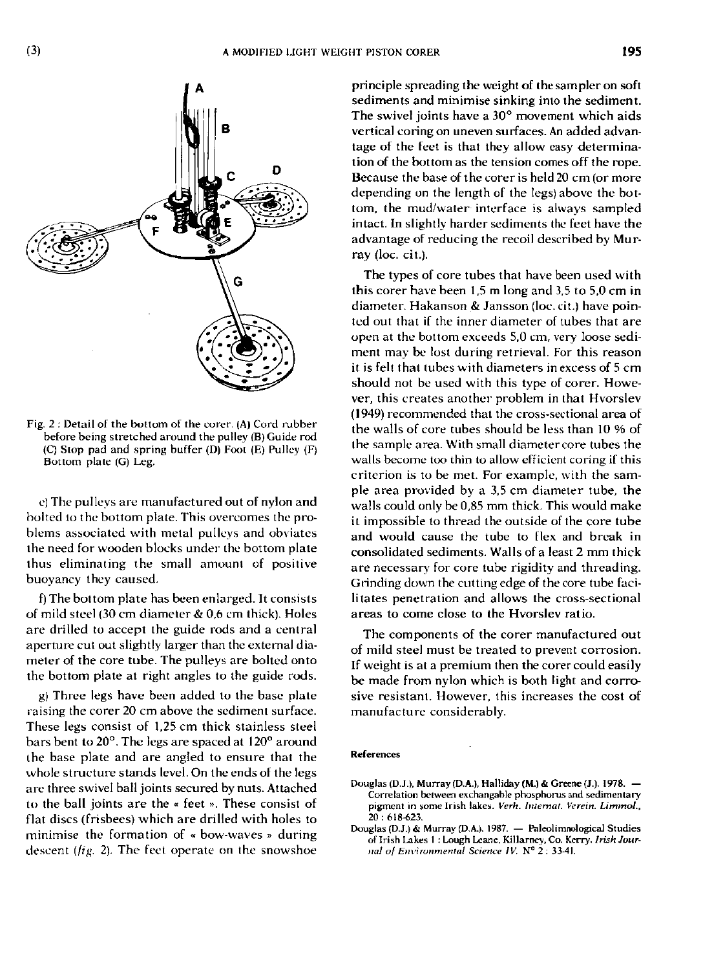

**Fig. 2 : Detail of the bottom of the corer. (A) Cord rubber before being stretched around the pulley (B) Guide rod (C) Stop pad and spring buffe r (D) Foot (E) Pulley (F) Bottom** plate (G) Leg.

e) The pulleys are manufactured out of nylon and bolted lo the bottom plate. This overcomes the problems associated with metal pulleys and obviates the need for wooden blocks under the bottom plate thus eliminating the small amount of positive buoyancy they caused.

f) The bottom plate has been enlarged. It consists of mild steel (30 cm diameter & 0.6 cm thick). Holes are drilled to accept the guide rods and a central aperture cut out slightly larger than the external diameter of the core tube. The pulleys are bolted onto the bottom plate at right angles to the guide rods.

g) Three legs have been added to the base plate raising the corer 20 cm above the sediment surface. These legs consist of 1,25 cm thick stainless steel bars bent to 20°. The legs are spaced at 120° around the base plate and are angled to ensure that the whole structure stands level. On the ends of the legs are three swivel ball joints secured by nuts. Attached to the ball joints are the « feet » . These consist of flat discs (frisbees) which are drilled with holes to minimise the formation of « bow-waves » during descent (*fig.* 2). The feet operate on the snowshoe

principle spreading the weight of the sampler on soft sediments and minimise sinking into the sediment. The swivel joints have a 30° movement which aids vertical coring on uneven surfaces. An added advantage of the feet is that they allow easy determination of the bottom as the tension comes off the rope. Because the base of the corer is held 20 cm (or more depending on the length of the legs) above the bottom, the mud/water interface is always sampled intact. In slightly harder sediments the feet have the advantage of reducing the recoil described by Murray (loc. cit.).

The types of core tubes that have been used with this corer have been 1,5 m long and 3,5 to 5,0 cm in diameter. Hakanson & Jansson (loc. cit.) have pointed out that if the inner diameter of tubes that are open at the bottom exceeds 5,0 cm, very loose sediment may be lost during retrieval. For this reason it is felt that tubes with diameters in excess of 5 cm should not be used with this type of corer. Howe ver, this creates another problem in that Hvorslev **(1949)** recommended that the cross-sectional area of the walls of core tubes should be less than 10 % of the sample area. With small diameter core tubes the walls become too thin to allow efficient coring if this criterion is to be met. For example, with the sample area provided by a 3,5 cm diameter tube, the walls could only be 0,85 mm thick. This would make it impossible to thread the outside of the core tube and would cause the tube to flex and break in consolidated sediments. Walls of a least 2 mm thick are necessary for core tube rigidity and threading. Grinding down the cutting edge of the core tube facilitates penetration and allows the cross-sectional areas to come close to the Hvorslev ratio.

The components of the corer manufactured out of mild steel must be treated to prevent corrosion. If weight is at a premium then the corer could easily be made from nylon which is both light and corrosive resistant. However, this increases the cost of manufacture considerably.

## **References**

**Douglas (D.J.)& Murray (D.A.). 1987. — Paleolimnological Studies of Irish Lakes I : Lough Leane, Killarney, Co. Kerry.** *Irish Journal of Environmental Science IV.*  $N^{\circ}$  2 : 33-41.

**Douglas (D.J.), Murray (D.A.), Halliday (M.) & Greene (J.). 1978. — Correlation between exchangable phosphorus and sedimentary**  pigment in some Irish lakes. Verh. Internat. Verein. Limmol., **20 : 618-623.**